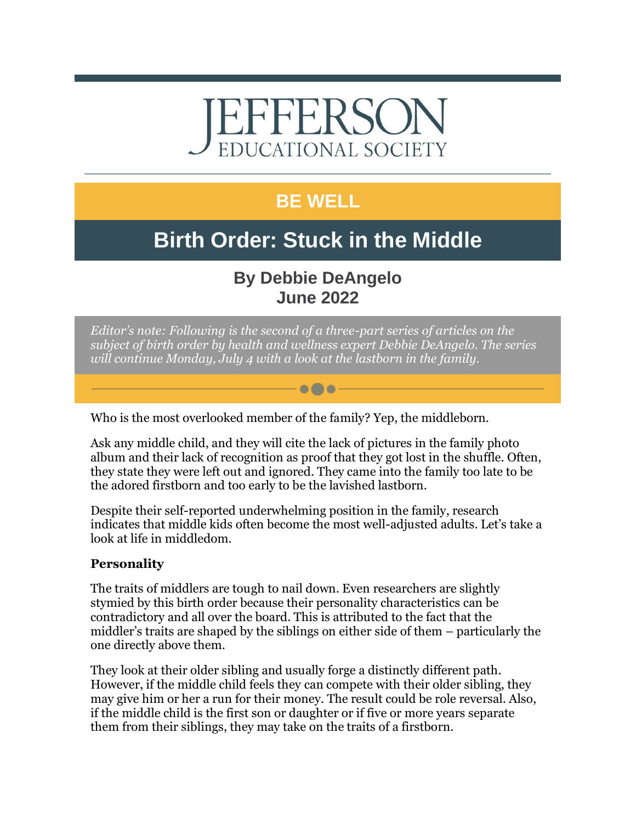# EFFERSC EDUCATIONAL SOCIETY

### **BE WELL**

## **Birth Order: Stuck in the Middle**

### **By Debbie DeAngelo June 2022**

*Editor's note: Following is the second of a three-part series of articles on the subject of birth order by health and wellness expert Debbie DeAngelo. The series will continue Monday, July 4 with a look at the lastborn in the family.*

 $\bullet\bullet\bullet$ 

Who is the most overlooked member of the family? Yep, the middleborn.

Ask any middle child, and they will cite the lack of pictures in the family photo album and their lack of recognition as proof that they got lost in the shuffle. Often, they state they were left out and ignored. They came into the family too late to be the adored firstborn and too early to be the lavished lastborn.

Despite their self-reported underwhelming position in the family, research indicates that middle kids often become the most well-adjusted adults. Let's take a look at life in middledom.

#### **Personality**

The traits of middlers are tough to nail down. Even researchers are slightly stymied by this birth order because their personality characteristics can be contradictory and all over the board. This is attributed to the fact that the middler's traits are shaped by the siblings on either side of them – particularly the one directly above them.

They look at their older sibling and usually forge a distinctly different path. However, if the middle child feels they can compete with their older sibling, they may give him or her a run for their money. The result could be role reversal. Also, if the middle child is the first son or daughter or if five or more years separate them from their siblings, they may take on the traits of a firstborn.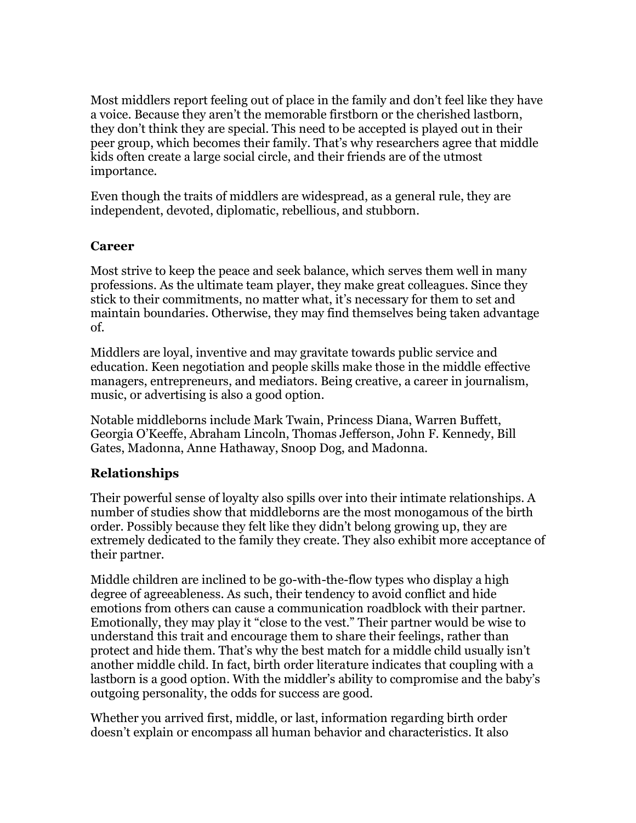Most middlers report feeling out of place in the family and don't feel like they have a voice. Because they aren't the memorable firstborn or the cherished lastborn, they don't think they are special. This need to be accepted is played out in their peer group, which becomes their family. That's why researchers agree that middle kids often create a large social circle, and their friends are of the utmost importance.

Even though the traits of middlers are widespread, as a general rule, they are independent, devoted, diplomatic, rebellious, and stubborn.

#### **Career**

Most strive to keep the peace and seek balance, which serves them well in many professions. As the ultimate team player, they make great colleagues. Since they stick to their commitments, no matter what, it's necessary for them to set and maintain boundaries. Otherwise, they may find themselves being taken advantage of.

Middlers are loyal, inventive and may gravitate towards public service and education. Keen negotiation and people skills make those in the middle effective managers, entrepreneurs, and mediators. Being creative, a career in journalism, music, or advertising is also a good option.

Notable middleborns include Mark Twain, Princess Diana, Warren Buffett, Georgia O'Keeffe, Abraham Lincoln, Thomas Jefferson, John F. Kennedy, Bill Gates, Madonna, Anne Hathaway, Snoop Dog, and Madonna.

#### **Relationships**

Their powerful sense of loyalty also spills over into their intimate relationships. A number of studies show that middleborns are the most monogamous of the birth order. Possibly because they felt like they didn't belong growing up, they are extremely dedicated to the family they create. They also exhibit more acceptance of their partner.

Middle children are inclined to be go-with-the-flow types who display a high degree of agreeableness. As such, their tendency to avoid conflict and hide emotions from others can cause a communication roadblock with their partner. Emotionally, they may play it "close to the vest." Their partner would be wise to understand this trait and encourage them to share their feelings, rather than protect and hide them. That's why the best match for a middle child usually isn't another middle child. In fact, birth order literature indicates that coupling with a lastborn is a good option. With the middler's ability to compromise and the baby's outgoing personality, the odds for success are good.

Whether you arrived first, middle, or last, information regarding birth order doesn't explain or encompass all human behavior and characteristics. It also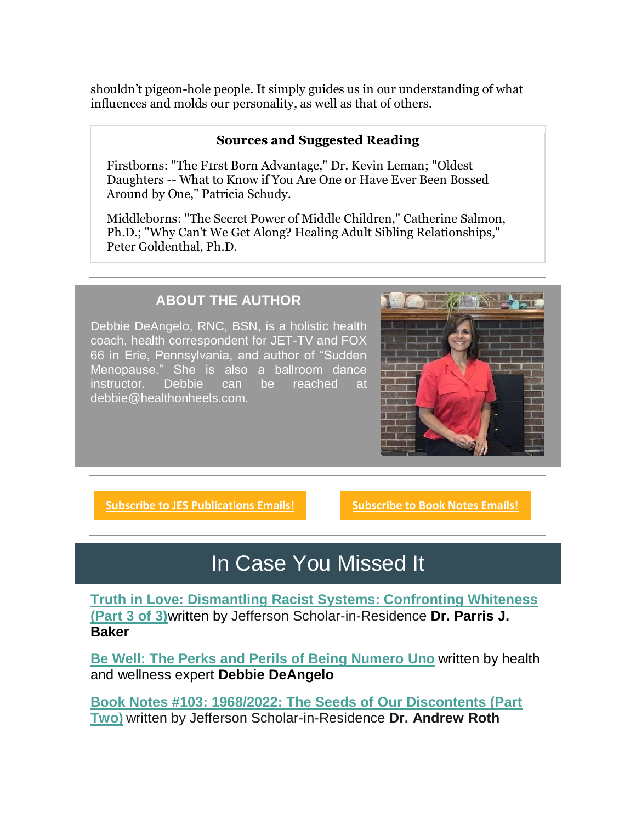shouldn't pigeon-hole people. It simply guides us in our understanding of what influences and molds our personality, as well as that of others.

#### **Sources and Suggested Reading**

Firstborns: "The F1rst Born Advantage," Dr. Kevin Leman; "Oldest Daughters -- What to Know if You Are One or Have Ever Been Bossed Around by One," Patricia Schudy.

Middleborns: "The Secret Power of Middle Children," Catherine Salmon, Ph.D.; "Why Can't We Get Along? Healing Adult Sibling Relationships," Peter Goldenthal, Ph.D.

#### **ABOUT THE AUTHOR**

Debbie DeAngelo, RNC, BSN, is a holistic health coach, health correspondent for JET-TV and FOX 66 in Erie, Pennsylvania, and author of "Sudden Menopause." She is also a ballroom dance instructor. Debbie can be reached at [debbie@healthonheels.com.](mailto:debbie@healthonheels.com)



**[Subscribe to JES Publications Emails!](https://r20.rs6.net/tn.jsp?f=001hp4IQdMg7vuTwhZonPRlJHW_uvIJc8ZPAHGG9bOzvP2dVEEa0WybuXd4TYcWEk6aF8fA2FL2lbFGnQdFX87nZxthGj0iCClTYvDif4olLibJ-9_f6oPAZ3fKpGz32CG7xG6th_xh7l8fm8AXGBd-BQqR50yfr1JnnuCvXOuAoDjiRoAtEyhKrqGX8C0YCYKhsTFoqhXcytv4mJKmL6yv8QXVo145pIAE4P70fI9H4kGSDdT1wMPA10fk-kTDEB1Aq50OnYwo0S2apkWIFxfKIMaoYsuh26yt7E4zRydnjYV4-a4zQiVqKsjKgvEUN-QMDVFiqN1kOM5ikxSWxnQDv1DJJmLVryZbyKrhZzMjqTA=&c=Dz3Bczf5GyuK4-vdxHAup9U5wjP0YWDJMhdesYzJm0nGcnV0wOkr-A==&ch=axH10qvOz094TzhGdOhrIh4Ne3aelwogXPrETBq5ZKMvEirklTaobw==) [Subscribe to Book Notes Emails!](https://r20.rs6.net/tn.jsp?f=001hp4IQdMg7vuTwhZonPRlJHW_uvIJc8ZPAHGG9bOzvP2dVEEa0WybuXd4TYcWEk6aHRJUA_iazTRd689bo9SlVDZoGmxgT14kYrMRofZinqSqKXDQuHOQAg-2k9IwB9MKc7MOmoLFtvOYsmv7Z3StO2dCRINHO7aHUEydy8tL4xoMjykip9Vxo9NCQWZeIXohMI638VZlIQgXPxb8a68Iyu6Je6ByDMEExI6ooZsj5ELsSeiIRiuus3l_mCjfBqsy32h04gzJQlOcs1CmLwpnxZu8CxgvpkQ-Ltvx_k36O-fkotrPXCXSwbkUuUKxf09GjgaJyPhpKP6w3PjyFsXdEP2KwxMsn3DQWlj7d1Z1zL0=&c=Dz3Bczf5GyuK4-vdxHAup9U5wjP0YWDJMhdesYzJm0nGcnV0wOkr-A==&ch=axH10qvOz094TzhGdOhrIh4Ne3aelwogXPrETBq5ZKMvEirklTaobw==)** 

## In Case You Missed It

**[Truth in Love: Dismantling Racist Systems: Confronting Whiteness](https://r20.rs6.net/tn.jsp?f=001hp4IQdMg7vuTwhZonPRlJHW_uvIJc8ZPAHGG9bOzvP2dVEEa0WybuTL4aqH9ZdxtxRrta3EPF-cQZx1y2pL7Stqqpo69HyZebcYDEYbwUUwz0KO9030NexP3fYhWIjjK4p0KNlr4pBGrypKVNCCXgg==&c=Dz3Bczf5GyuK4-vdxHAup9U5wjP0YWDJMhdesYzJm0nGcnV0wOkr-A==&ch=axH10qvOz094TzhGdOhrIh4Ne3aelwogXPrETBq5ZKMvEirklTaobw==)  [\(Part 3 of 3\)](https://r20.rs6.net/tn.jsp?f=001hp4IQdMg7vuTwhZonPRlJHW_uvIJc8ZPAHGG9bOzvP2dVEEa0WybuTL4aqH9ZdxtxRrta3EPF-cQZx1y2pL7Stqqpo69HyZebcYDEYbwUUwz0KO9030NexP3fYhWIjjK4p0KNlr4pBGrypKVNCCXgg==&c=Dz3Bczf5GyuK4-vdxHAup9U5wjP0YWDJMhdesYzJm0nGcnV0wOkr-A==&ch=axH10qvOz094TzhGdOhrIh4Ne3aelwogXPrETBq5ZKMvEirklTaobw==)**written by Jefferson Scholar-in-Residence **Dr. Parris J. Baker**

**[Be Well: The Perks and Perils of Being Numero Uno](https://r20.rs6.net/tn.jsp?f=001hp4IQdMg7vuTwhZonPRlJHW_uvIJc8ZPAHGG9bOzvP2dVEEa0WybuTQdgCsj8fGwK87Oz6y34HK80RWtbZ2l4y9Vd2K-xUqQgqFNywJFBCZVCoM-DfcwynBmH6r5O0cTpp0fVDWWnacaFzUPcwY10Q==&c=Dz3Bczf5GyuK4-vdxHAup9U5wjP0YWDJMhdesYzJm0nGcnV0wOkr-A==&ch=axH10qvOz094TzhGdOhrIh4Ne3aelwogXPrETBq5ZKMvEirklTaobw==)** written by health and wellness expert **Debbie DeAngelo**

**[Book Notes #103: 1968/2022: The Seeds of Our Discontents \(Part](https://r20.rs6.net/tn.jsp?f=001hp4IQdMg7vuTwhZonPRlJHW_uvIJc8ZPAHGG9bOzvP2dVEEa0WybuQ-RrKHlonsEPTa2ZzoiSXs1dAzWjB3_t8GpGVebsMYeJYkc3CGpOrVefk_jUDsiGVGFPnjKBiAD1l4nvEvhd3Ids1a46EOazA==&c=Dz3Bczf5GyuK4-vdxHAup9U5wjP0YWDJMhdesYzJm0nGcnV0wOkr-A==&ch=axH10qvOz094TzhGdOhrIh4Ne3aelwogXPrETBq5ZKMvEirklTaobw==)  [Two\)](https://r20.rs6.net/tn.jsp?f=001hp4IQdMg7vuTwhZonPRlJHW_uvIJc8ZPAHGG9bOzvP2dVEEa0WybuQ-RrKHlonsEPTa2ZzoiSXs1dAzWjB3_t8GpGVebsMYeJYkc3CGpOrVefk_jUDsiGVGFPnjKBiAD1l4nvEvhd3Ids1a46EOazA==&c=Dz3Bczf5GyuK4-vdxHAup9U5wjP0YWDJMhdesYzJm0nGcnV0wOkr-A==&ch=axH10qvOz094TzhGdOhrIh4Ne3aelwogXPrETBq5ZKMvEirklTaobw==)** written by Jefferson Scholar-in-Residence **Dr. Andrew Roth**